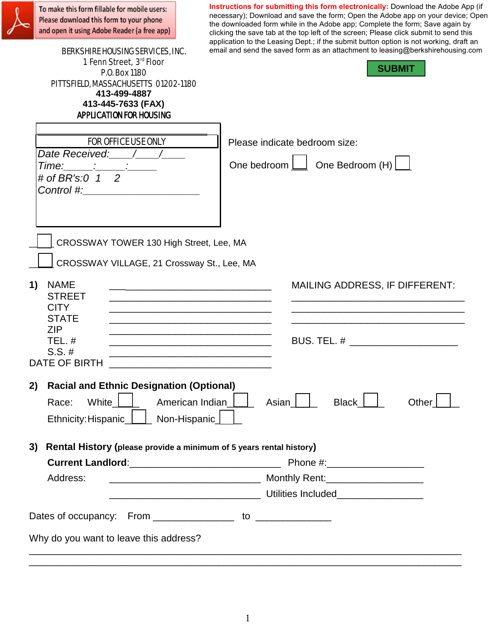| To make this form fillable for mobile users:<br>Please download this form to your phone<br>and open it using Adobe Reader (a free app)<br><b>BERKSHIRE HOUSING SERVICES, INC.</b><br>1 Fenn Street, 3rd Floor<br><b>P.O. Box 1180</b><br>PITTSFIELD, MASSACHUSETTS 01202-1180<br>413-499-4887<br>413-445-7633 (FAX)<br><b>APPLICATION FOR HOUSING</b> | Instructions for submitting this form electronically: Download the Adobe App (if<br>necessary); Download and save the form; Open the Adobe app on your device; Open<br>the downloaded form while in the Adobe app; Complete the form; Save again by<br>clicking the save tab at the top left of the screen; Please click submit to send this<br>application to the Leasing Dept.; if the submit button option is not working, draft an<br>email and send the saved form as an attachment to leasing@berkshirehousing.com<br><b>SUBMIT</b> |
|-------------------------------------------------------------------------------------------------------------------------------------------------------------------------------------------------------------------------------------------------------------------------------------------------------------------------------------------------------|-------------------------------------------------------------------------------------------------------------------------------------------------------------------------------------------------------------------------------------------------------------------------------------------------------------------------------------------------------------------------------------------------------------------------------------------------------------------------------------------------------------------------------------------|
| <b>FOR OFFICE USE ONLY</b><br>Date Received: / /<br>Time: 2008<br># of BR's:0 $1\quad2$<br><b>Control #:</b> the control of the control of the control of the control of the control of the control of the control of the control of the control of the control of the control of the control of the control of the control of                        | Please indicate bedroom size:<br>One bedroom $\boxed{\phantom{a}}$ One Bedroom (H) $\boxed{\phantom{a}}$                                                                                                                                                                                                                                                                                                                                                                                                                                  |
| CROSSWAY TOWER 130 High Street, Lee, MA<br>CROSSWAY VILLAGE, 21 Crossway St., Lee, MA<br><b>NAME</b><br>1)<br><b>STREET</b><br><b>CITY</b><br><b>STATE</b><br><b>ZIP</b><br>TEL. $#$<br>$S.S. \#$<br><b>DATE OF BIRTH</b>                                                                                                                             | <b>MAILING ADDRESS, IF DIFFERENT:</b><br><u> 1989 - Johann John Stone, mars et al. 1989 - John Stone, mars et al. 1989 - John Stone, mars et al. 1989 - Joh</u><br><b>BUS. TEL. #</b> 2007 2007 2007 2008                                                                                                                                                                                                                                                                                                                                 |
| <b>Racial and Ethnic Designation (Optional)</b><br>2)<br>White<br>Race:<br>Ethnicity: Hispanic_                                                                                                                                                                                                                                                       | Black  <br>American Indian<br>Asian  <br>Other<br>Non-Hispanic_                                                                                                                                                                                                                                                                                                                                                                                                                                                                           |
| 3)<br>Current Landlord:_________________________________<br>Address:                                                                                                                                                                                                                                                                                  | Rental History (please provide a minimum of 5 years rental history)                                                                                                                                                                                                                                                                                                                                                                                                                                                                       |
| Why do you want to leave this address?                                                                                                                                                                                                                                                                                                                |                                                                                                                                                                                                                                                                                                                                                                                                                                                                                                                                           |

O

\_\_\_\_\_\_\_\_\_\_\_\_\_\_\_\_\_\_\_\_\_\_\_\_\_\_\_\_\_\_\_\_\_\_\_\_\_\_\_\_\_\_\_\_\_\_\_\_\_\_\_\_\_\_\_\_\_\_\_\_\_\_\_\_\_\_\_\_\_\_\_\_\_\_\_\_\_\_\_\_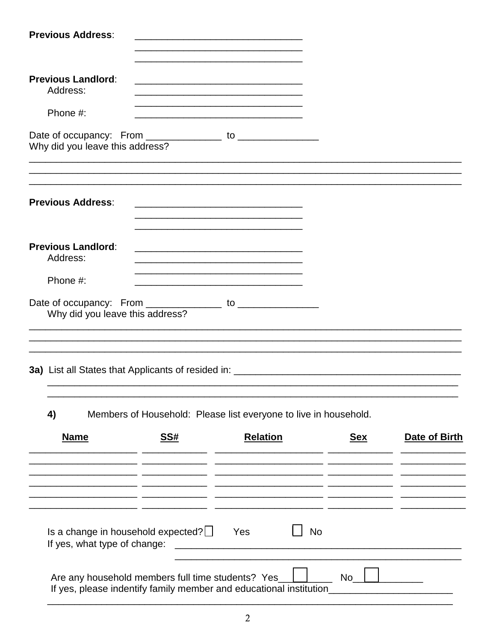| <b>Previous Address:</b>                                                                    |            | the control of the control of the control of the control of the control of the control of                                                                                                                                                                   |            |               |
|---------------------------------------------------------------------------------------------|------------|-------------------------------------------------------------------------------------------------------------------------------------------------------------------------------------------------------------------------------------------------------------|------------|---------------|
| <b>Previous Landlord:</b><br>Address:                                                       |            |                                                                                                                                                                                                                                                             |            |               |
| Phone #:                                                                                    |            | <u> 1989 - Johann Stein, mars an deutscher Stein und der Stein und der Stein und der Stein und der Stein und der</u>                                                                                                                                        |            |               |
| Date of occupancy: From ______________ to ______________<br>Why did you leave this address? |            |                                                                                                                                                                                                                                                             |            |               |
| <b>Previous Address:</b>                                                                    |            |                                                                                                                                                                                                                                                             |            |               |
| <b>Previous Landlord:</b><br>Address:                                                       |            | <u> 1989 - Johann John Stone, markin film yn y brening yn y brening yn y brening yn y brening yn y brening yn y b</u>                                                                                                                                       |            |               |
| Phone #:                                                                                    |            |                                                                                                                                                                                                                                                             |            |               |
| Why did you leave this address?                                                             |            |                                                                                                                                                                                                                                                             |            |               |
| 4)                                                                                          |            | Members of Household: Please list everyone to live in household.                                                                                                                                                                                            |            |               |
| <b>Name</b>                                                                                 | <u>SS#</u> | <b>Relation</b><br><u> 1989 - Johann Harry Harry Harry Harry Harry Harry Harry Harry Harry Harry Harry Harry Harry Harry Harry Harry</u>                                                                                                                    | <u>Sex</u> | Date of Birth |
|                                                                                             |            |                                                                                                                                                                                                                                                             |            |               |
| Is a change in household expected? $\Box$<br>If yes, what type of change:                   |            | <b>No</b><br>Yes<br><u> 2001 - Jan Barbarat, manala</u> tar ang ka-2011 at 2012 at 2012 at 2012 at 2012 at 2012 at 2012 at 2012 at 2012 at 2<br>District and at 2012 at 2012 at 2012 at 2013 at 2013 at 2013 at 2013 at 2013 at 2013 at 2013 at 2013 at 201 |            |               |
| Are any household members full time students? Yes_                                          |            | If yes, please indentify family member and educational institution                                                                                                                                                                                          | No l       |               |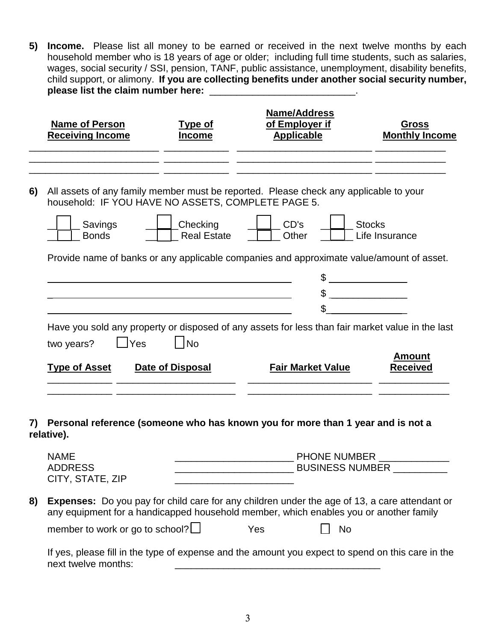**5) Income.** Please list all money to be earned or received in the next twelve months by each household member who is 18 years of age or older; including full time students, such as salaries, wages, social security / SSI, pension, TANF, public assistance, unemployment, disability benefits, child support, or alimony. **If you are collecting benefits under another social security number, please list the claim number here:** \_\_\_\_\_\_\_\_\_\_\_\_\_\_\_\_\_\_\_\_\_\_\_\_\_\_\_.

|    | <b>Name of Person</b><br><b>Receiving Income</b>                                                                                                                       | Type of<br><b>Income</b>                     | <b>Name/Address</b><br>of Employer if<br><b>Applicable</b> | <b>Gross</b><br><b>Monthly Income</b>           |
|----|------------------------------------------------------------------------------------------------------------------------------------------------------------------------|----------------------------------------------|------------------------------------------------------------|-------------------------------------------------|
| 6) | All assets of any family member must be reported. Please check any applicable to your<br>household: IF YOU HAVE NO ASSETS, COMPLETE PAGE 5.<br>Savings<br><b>Bonds</b> | Checking<br><b>Real Estate</b>               | CD's<br>Other                                              | <b>Stocks</b><br>Life Insurance                 |
|    | Provide name of banks or any applicable companies and approximate value/amount of asset.                                                                               |                                              |                                                            | <u> 1999 - Johann Barnett, fransk politiker</u> |
|    | Have you sold any property or disposed of any assets for less than fair market value in the last<br>$\Box$ Yes<br>two years?<br><b>Type of Asset</b>                   | $\overline{\mathsf{No}}$<br>Date of Disposal | <b>Fair Market Value</b>                                   | <b>Amount</b><br><b>Received</b>                |
| 7) | Personal reference (someone who has known you for more than 1 year and is not a<br>relative).                                                                          |                                              |                                                            |                                                 |

|    | <b>NAME</b><br><b>ADDRESS</b><br>CITY, STATE, ZIP                                                                                                                                             |     | <b>PHONE NUMBER</b><br><b>BUSINESS NUMBER</b> |  |
|----|-----------------------------------------------------------------------------------------------------------------------------------------------------------------------------------------------|-----|-----------------------------------------------|--|
| 8) | <b>Expenses:</b> Do you pay for child care for any children under the age of 13, a care attendant or<br>any equipment for a handicapped household member, which enables you or another family |     |                                               |  |
|    | member to work or go to school? $\Box$                                                                                                                                                        | Yes | No                                            |  |
|    | If yes, please fill in the type of expense and the amount you expect to spend on this care in the<br>next twelve months:                                                                      |     |                                               |  |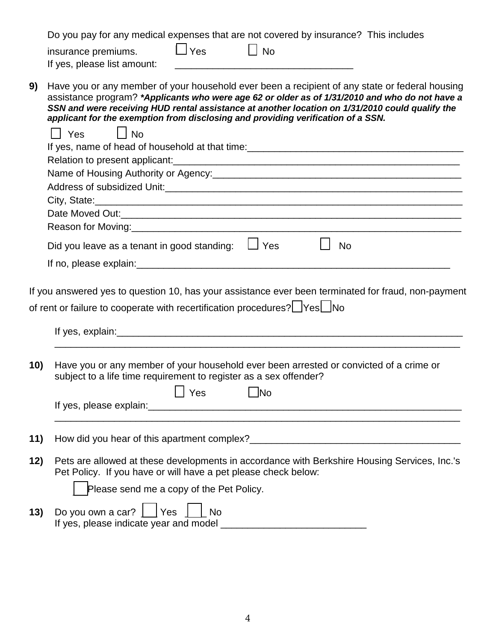| Do you pay for any medical expenses that are not covered by insurance? This includes |  |  |  |  |  |  |  |  |  |  |  |  |
|--------------------------------------------------------------------------------------|--|--|--|--|--|--|--|--|--|--|--|--|
|--------------------------------------------------------------------------------------|--|--|--|--|--|--|--|--|--|--|--|--|

| insurance premiums. | $\Box$ Yes | $\Box$ No |
|---------------------|------------|-----------|
|                     |            |           |

If yes, please list amount:

**9)** Have you or any member of your household ever been a recipient of any state or federal housing assistance program? *\*Applicants who were age 62 or older as of 1/31/2010 and who do not have a SSN and were receiving HUD rental assistance at another location on 1/31/2010 could qualify the applicant for the exemption from disclosing and providing verification of a SSN.*

|     | $\vert$ $\vert$ No<br>l I Yes                                                                                                                                  |
|-----|----------------------------------------------------------------------------------------------------------------------------------------------------------------|
|     | If yes, name of head of household at that time:<br><u>Fig. 2008.</u>                                                                                           |
|     |                                                                                                                                                                |
|     | Name of Housing Authority or Agency: 1990 1990 1990 1991 1992 1994 1996 1997 1998 1999 1999 1999 1999 1999 19                                                  |
|     |                                                                                                                                                                |
|     |                                                                                                                                                                |
|     |                                                                                                                                                                |
|     |                                                                                                                                                                |
|     | Did you leave as a tenant in good standing: $\Box$ Yes<br><b>No</b>                                                                                            |
|     |                                                                                                                                                                |
|     | of rent or failure to cooperate with recertification procedures? Ves No                                                                                        |
| 10) | Have you or any member of your household ever been arrested or convicted of a crime or<br>subject to a life time requirement to register as a sex offender?    |
|     | $\lceil \cdot \rceil$ Yes<br><b>Example D</b> No                                                                                                               |
|     |                                                                                                                                                                |
| 11) |                                                                                                                                                                |
| 12) | Pets are allowed at these developments in accordance with Berkshire Housing Services, Inc.'s<br>Pet Policy. If you have or will have a pet please check below: |
|     | Please send me a copy of the Pet Policy.                                                                                                                       |
| 13) | Do you own a car? $\Box$ Yes $\Box$ No                                                                                                                         |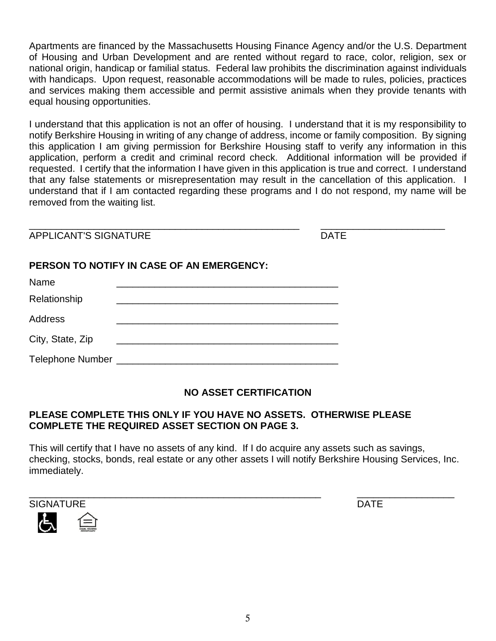Apartments are financed by the Massachusetts Housing Finance Agency and/or the U.S. Department of Housing and Urban Development and are rented without regard to race, color, religion, sex or national origin, handicap or familial status. Federal law prohibits the discrimination against individuals with handicaps. Upon request, reasonable accommodations will be made to rules, policies, practices and services making them accessible and permit assistive animals when they provide tenants with equal housing opportunities.

I understand that this application is not an offer of housing. I understand that it is my responsibility to notify Berkshire Housing in writing of any change of address, income or family composition. By signing this application I am giving permission for Berkshire Housing staff to verify any information in this application, perform a credit and criminal record check. Additional information will be provided if requested. I certify that the information I have given in this application is true and correct. I understand that any false statements or misrepresentation may result in the cancellation of this application. I understand that if I am contacted regarding these programs and I do not respond, my name will be removed from the waiting list.

\_\_\_\_\_\_\_\_\_\_\_\_\_\_\_\_\_\_\_\_\_\_\_\_\_\_\_\_\_\_\_\_\_\_\_\_\_\_\_\_\_\_\_\_\_\_\_\_\_\_ \_\_\_\_\_\_\_\_\_\_\_\_\_\_\_\_\_\_\_\_\_\_\_ APPLICANT'S SIGNATURE **Example 20 International Section** 20 International DATE

## **PERSON TO NOTIFY IN CASE OF AN EMERGENCY:**

| Name             |  |
|------------------|--|
| Relationship     |  |
| <b>Address</b>   |  |
| City, State, Zip |  |
| Telephone Number |  |

## **NO ASSET CERTIFICATION**

## **PLEASE COMPLETE THIS ONLY IF YOU HAVE NO ASSETS. OTHERWISE PLEASE COMPLETE THE REQUIRED ASSET SECTION ON PAGE 3.**

This will certify that I have no assets of any kind. If I do acquire any assets such as savings, checking, stocks, bonds, real estate or any other assets I will notify Berkshire Housing Services, Inc. immediately.



 $\epsilon$ 



\_\_\_\_\_\_\_\_\_\_\_\_\_\_\_\_\_\_\_\_\_\_\_\_\_\_\_\_\_\_\_\_\_\_\_\_\_\_\_\_\_\_\_\_\_\_\_\_\_\_\_\_\_\_ \_\_\_\_\_\_\_\_\_\_\_\_\_\_\_\_\_\_